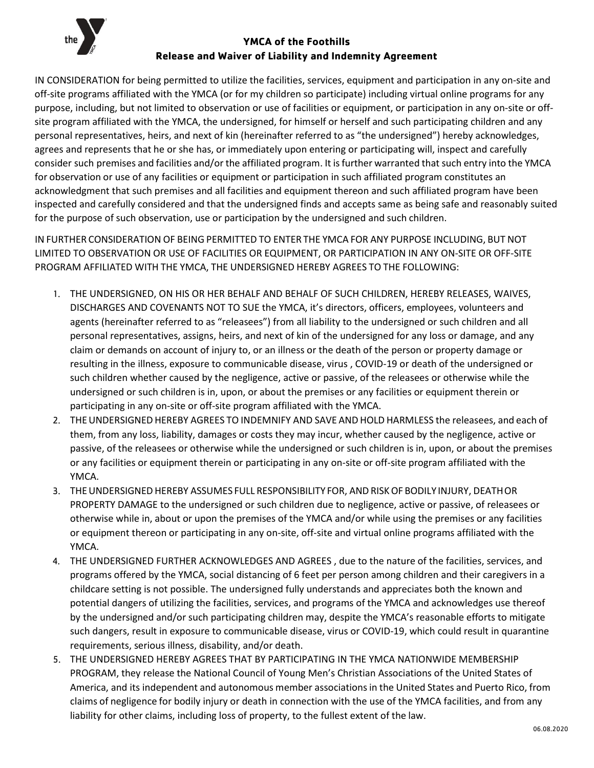

## **YMCA of the Foothills Release and Waiver of Liability and Indemnity Agreement**

IN CONSIDERATION for being permitted to utilize the facilities, services, equipment and participation in any on-site and off-site programs affiliated with the YMCA (or for my children so participate) including virtual online programs for any purpose, including, but not limited to observation or use of facilities or equipment, or participation in any on-site or offsite program affiliated with the YMCA, the undersigned, for himself or herself and such participating children and any personal representatives, heirs, and next of kin (hereinafter referred to as "the undersigned") hereby acknowledges, agrees and represents that he or she has, or immediately upon entering or participating will, inspect and carefully consider such premises and facilities and/or the affiliated program. It isfurther warranted that such entry into the YMCA for observation or use of any facilities or equipment or participation in such affiliated program constitutes an acknowledgment that such premises and all facilities and equipment thereon and such affiliated program have been inspected and carefully considered and that the undersigned finds and accepts same as being safe and reasonably suited for the purpose of such observation, use or participation by the undersigned and such children.

IN FURTHER CONSIDERATION OF BEING PERMITTED TO ENTER THE YMCA FOR ANY PURPOSE INCLUDING, BUT NOT LIMITED TO OBSERVATION OR USE OF FACILITIES OR EQUIPMENT, OR PARTICIPATION IN ANY ON-SITE OR OFF-SITE PROGRAM AFFILIATED WITH THE YMCA, THE UNDERSIGNED HEREBY AGREES TO THE FOLLOWING:

- 1. THE UNDERSIGNED, ON HIS OR HER BEHALF AND BEHALF OF SUCH CHILDREN, HEREBY RELEASES, WAIVES, DISCHARGES AND COVENANTS NOT TO SUE the YMCA, it's directors, officers, employees, volunteers and agents (hereinafter referred to as "releasees") from all liability to the undersigned or such children and all personal representatives, assigns, heirs, and next of kin of the undersigned for any loss or damage, and any claim or demands on account of injury to, or an illness or the death of the person or property damage or resulting in the illness, exposure to communicable disease, virus , COVID-19 or death of the undersigned or such children whether caused by the negligence, active or passive, of the releasees or otherwise while the undersigned or such children is in, upon, or about the premises or any facilities or equipment therein or participating in any on-site or off-site program affiliated with the YMCA.
- 2. THEUNDERSIGNED HEREBY AGREES TO INDEMNIFY AND SAVE AND HOLD HARMLESS the releasees, and each of them, from any loss, liability, damages or costs they may incur, whether caused by the negligence, active or passive, of the releasees or otherwise while the undersigned or such children is in, upon, or about the premises or any facilities or equipment therein or participating in any on-site or off-site program affiliated with the YMCA.
- 3. THE UNDERSIGNED HEREBY ASSUMES FULL RESPONSIBILITY FOR, AND RISK OF BODILY INJURY, DEATH OR PROPERTY DAMAGE to the undersigned or such children due to negligence, active or passive, of releasees or otherwise while in, about or upon the premises of the YMCA and/or while using the premises or any facilities or equipment thereon or participating in any on-site, off-site and virtual online programs affiliated with the YMCA.
- 4. THE UNDERSIGNED FURTHER ACKNOWLEDGES AND AGREES , due to the nature of the facilities, services, and programs offered by the YMCA, social distancing of 6 feet per person among children and their caregivers in a childcare setting is not possible. The undersigned fully understands and appreciates both the known and potential dangers of utilizing the facilities, services, and programs of the YMCA and acknowledges use thereof by the undersigned and/or such participating children may, despite the YMCA's reasonable efforts to mitigate such dangers, result in exposure to communicable disease, virus or COVID-19, which could result in quarantine requirements, serious illness, disability, and/or death.
- 5. THE UNDERSIGNED HEREBY AGREES THAT BY PARTICIPATING IN THE YMCA NATIONWIDE MEMBERSHIP PROGRAM, they release the National Council of Young Men's Christian Associations of the United States of America, and its independent and autonomous member associationsin the United States and Puerto Rico, from claims of negligence for bodily injury or death in connection with the use of the YMCA facilities, and from any liability for other claims, including loss of property, to the fullest extent of the law.